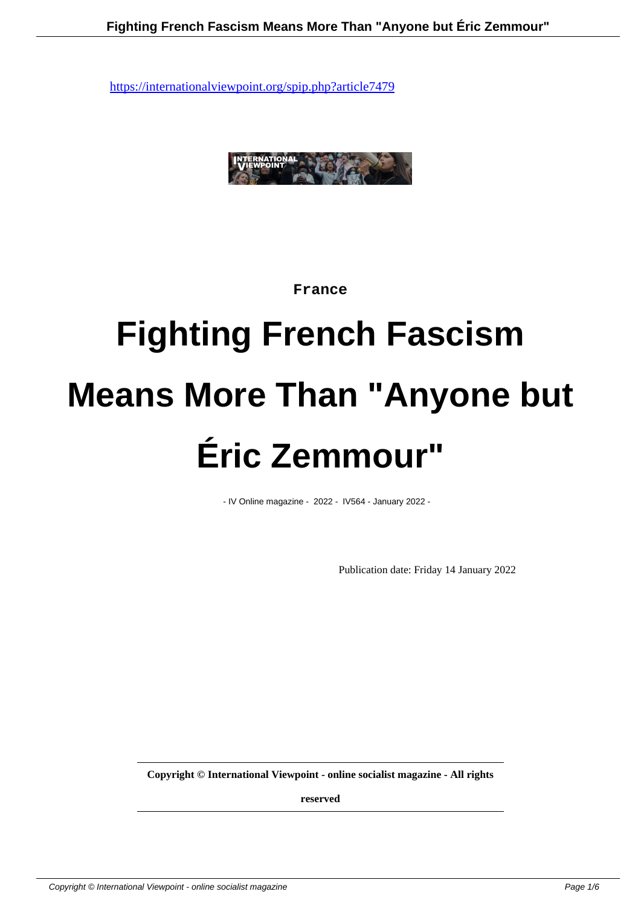

#### **France**

# **Fighting French Fascism Means More Than "Anyone but Éric Zemmour"**

- IV Online magazine - 2022 - IV564 - January 2022 -

Publication date: Friday 14 January 2022

**Copyright © International Viewpoint - online socialist magazine - All rights**

**reserved**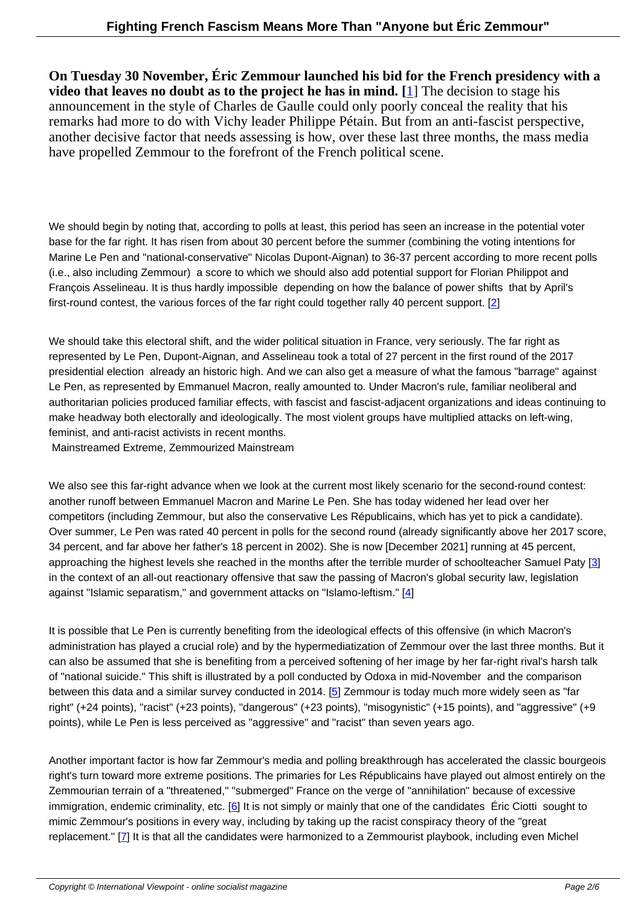**On Tuesday 30 November, Éric Zemmour launched his bid for the French presidency with a video that leaves no doubt as to the project he has in mind. [**1] The decision to stage his announcement in the style of Charles de Gaulle could only poorly conceal the reality that his remarks had more to do with Vichy leader Philippe Pétain. But from an anti-fascist perspective, another decisive factor that needs assessing is how, over these last three months, the mass media have propelled Zemmour to the forefront of the French political [s](#nb1)cene.

We should begin by noting that, according to polls at least, this period has seen an increase in the potential voter base for the far right. It has risen from about 30 percent before the summer (combining the voting intentions for Marine Le Pen and "national-conservative" Nicolas Dupont-Aignan) to 36-37 percent according to more recent polls (i.e., also including Zemmour) a score to which we should also add potential support for Florian Philippot and François Asselineau. It is thus hardly impossible depending on how the balance of power shifts that by April's first-round contest, the various forces of the far right could together rally 40 percent support. [2]

We should take this electoral shift, and the wider political situation in France, very seriously. The far right as represented by Le Pen, Dupont-Aignan, and Asselineau took a total of 27 percent in the first [ro](#nb2)und of the 2017 presidential election already an historic high. And we can also get a measure of what the famous "barrage" against Le Pen, as represented by Emmanuel Macron, really amounted to. Under Macron's rule, familiar neoliberal and authoritarian policies produced familiar effects, with fascist and fascist-adjacent organizations and ideas continuing to make headway both electorally and ideologically. The most violent groups have multiplied attacks on left-wing, feminist, and anti-racist activists in recent months.

Mainstreamed Extreme, Zemmourized Mainstream

We also see this far-right advance when we look at the current most likely scenario for the second-round contest: another runoff between Emmanuel Macron and Marine Le Pen. She has today widened her lead over her competitors (including Zemmour, but also the conservative Les Républicains, which has yet to pick a candidate). Over summer, Le Pen was rated 40 percent in polls for the second round (already significantly above her 2017 score, 34 percent, and far above her father's 18 percent in 2002). She is now [December 2021] running at 45 percent, approaching the highest levels she reached in the months after the terrible murder of schoolteacher Samuel Paty [3] in the context of an all-out reactionary offensive that saw the passing of Macron's global security law, legislation against "Islamic separatism," and government attacks on "Islamo-leftism." [4]

It is possible that Le Pen is currently benefiting from the ideological effects of this offensive (in which Macron's administration has played a crucial role) and by the hypermediatization of [Ze](#nb4)mmour over the last three months. But it can also be assumed that she is benefiting from a perceived softening of her image by her far-right rival's harsh talk of "national suicide." This shift is illustrated by a poll conducted by Odoxa in mid-November and the comparison between this data and a similar survey conducted in 2014. [5] Zemmour is today much more widely seen as "far right" (+24 points), "racist" (+23 points), "dangerous" (+23 points), "misogynistic" (+15 points), and "aggressive" (+9 points), while Le Pen is less perceived as "aggressive" and "racist" than seven years ago.

Another important factor is how far Zemmour's media and polling breakthrough has accelerated the classic bourgeois right's turn toward more extreme positions. The primaries for Les Républicains have played out almost entirely on the Zemmourian terrain of a "threatened," "submerged" France on the verge of "annihilation" because of excessive immigration, endemic criminality, etc.  $[6]$  It is not simply or mainly that one of the candidates  $\overline{E}$  ric Ciotti sought to mimic Zemmour's positions in every way, including by taking up the racist conspiracy theory of the "great replacement." [7] It is that all the candidates were harmonized to a Zemmourist playbook, including even Michel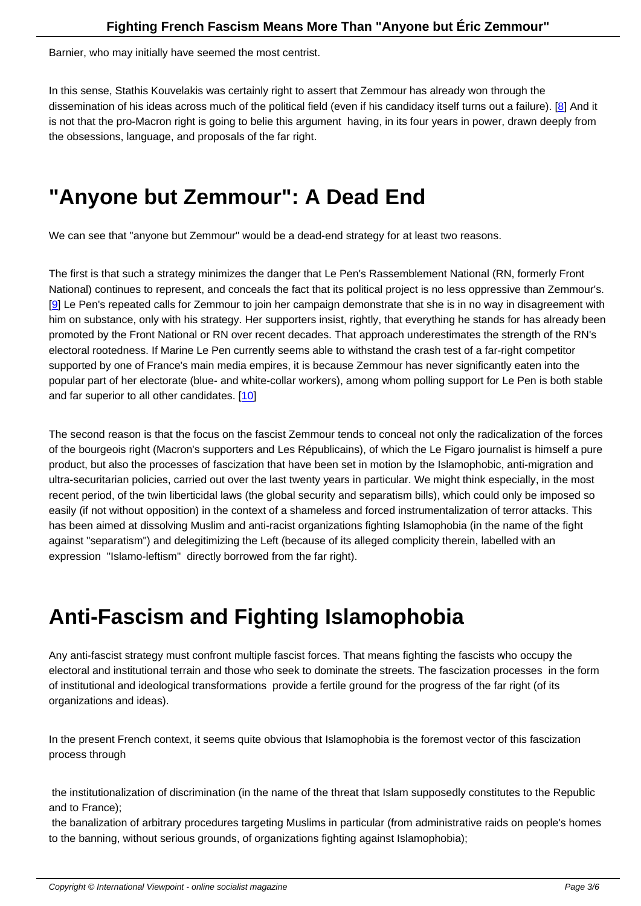Barnier, who may initially have seemed the most centrist.

In this sense, Stathis Kouvelakis was certainly right to assert that Zemmour has already won through the dissemination of his ideas across much of the political field (even if his candidacy itself turns out a failure). [8] And it is not that the pro-Macron right is going to belie this argument having, in its four years in power, drawn deeply from the obsessions, language, and proposals of the far right.

### **"Anyone but Zemmour": A Dead End**

We can see that "anyone but Zemmour" would be a dead-end strategy for at least two reasons.

The first is that such a strategy minimizes the danger that Le Pen's Rassemblement National (RN, formerly Front National) continues to represent, and conceals the fact that its political project is no less oppressive than Zemmour's. [9] Le Pen's repeated calls for Zemmour to join her campaign demonstrate that she is in no way in disagreement with him on substance, only with his strategy. Her supporters insist, rightly, that everything he stands for has already been promoted by the Front National or RN over recent decades. That approach underestimates the strength of the RN's electoral rootedness. If Marine Le Pen currently seems able to withstand the crash test of a far-right competitor [su](#nb9)pported by one of France's main media empires, it is because Zemmour has never significantly eaten into the popular part of her electorate (blue- and white-collar workers), among whom polling support for Le Pen is both stable and far superior to all other candidates. [10]

The second reason is that the focus on the fascist Zemmour tends to conceal not only the radicalization of the forces of the bourgeois right (Macron's support[ers](#nb10) and Les Républicains), of which the Le Figaro journalist is himself a pure product, but also the processes of fascization that have been set in motion by the Islamophobic, anti-migration and ultra-securitarian policies, carried out over the last twenty years in particular. We might think especially, in the most recent period, of the twin liberticidal laws (the global security and separatism bills), which could only be imposed so easily (if not without opposition) in the context of a shameless and forced instrumentalization of terror attacks. This has been aimed at dissolving Muslim and anti-racist organizations fighting Islamophobia (in the name of the fight against "separatism") and delegitimizing the Left (because of its alleged complicity therein, labelled with an expression "Islamo-leftism" directly borrowed from the far right).

## **Anti-Fascism and Fighting Islamophobia**

Any anti-fascist strategy must confront multiple fascist forces. That means fighting the fascists who occupy the electoral and institutional terrain and those who seek to dominate the streets. The fascization processes in the form of institutional and ideological transformations provide a fertile ground for the progress of the far right (of its organizations and ideas).

In the present French context, it seems quite obvious that Islamophobia is the foremost vector of this fascization process through

 the institutionalization of discrimination (in the name of the threat that Islam supposedly constitutes to the Republic and to France);

 the banalization of arbitrary procedures targeting Muslims in particular (from administrative raids on people's homes to the banning, without serious grounds, of organizations fighting against Islamophobia);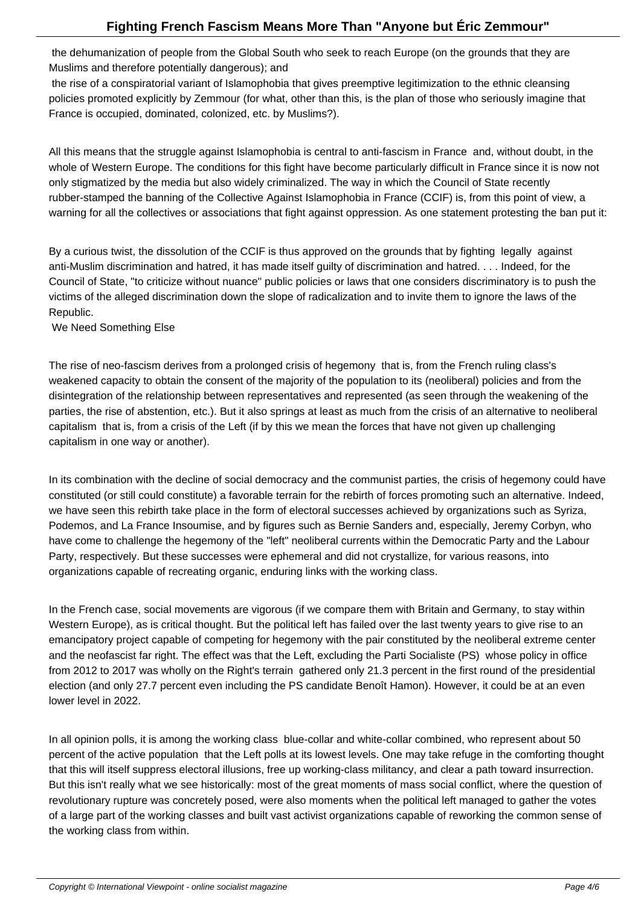the dehumanization of people from the Global South who seek to reach Europe (on the grounds that they are Muslims and therefore potentially dangerous); and

 the rise of a conspiratorial variant of Islamophobia that gives preemptive legitimization to the ethnic cleansing policies promoted explicitly by Zemmour (for what, other than this, is the plan of those who seriously imagine that France is occupied, dominated, colonized, etc. by Muslims?).

All this means that the struggle against Islamophobia is central to anti-fascism in France and, without doubt, in the whole of Western Europe. The conditions for this fight have become particularly difficult in France since it is now not only stigmatized by the media but also widely criminalized. The way in which the Council of State recently rubber-stamped the banning of the Collective Against Islamophobia in France (CCIF) is, from this point of view, a warning for all the collectives or associations that fight against oppression. As one statement protesting the ban put it:

By a curious twist, the dissolution of the CCIF is thus approved on the grounds that by fighting legally against anti-Muslim discrimination and hatred, it has made itself guilty of discrimination and hatred. . . . Indeed, for the Council of State, "to criticize without nuance" public policies or laws that one considers discriminatory is to push the victims of the alleged discrimination down the slope of radicalization and to invite them to ignore the laws of the Republic.

We Need Something Else

The rise of neo-fascism derives from a prolonged crisis of hegemony that is, from the French ruling class's weakened capacity to obtain the consent of the majority of the population to its (neoliberal) policies and from the disintegration of the relationship between representatives and represented (as seen through the weakening of the parties, the rise of abstention, etc.). But it also springs at least as much from the crisis of an alternative to neoliberal capitalism that is, from a crisis of the Left (if by this we mean the forces that have not given up challenging capitalism in one way or another).

In its combination with the decline of social democracy and the communist parties, the crisis of hegemony could have constituted (or still could constitute) a favorable terrain for the rebirth of forces promoting such an alternative. Indeed, we have seen this rebirth take place in the form of electoral successes achieved by organizations such as Syriza, Podemos, and La France Insoumise, and by figures such as Bernie Sanders and, especially, Jeremy Corbyn, who have come to challenge the hegemony of the "left" neoliberal currents within the Democratic Party and the Labour Party, respectively. But these successes were ephemeral and did not crystallize, for various reasons, into organizations capable of recreating organic, enduring links with the working class.

In the French case, social movements are vigorous (if we compare them with Britain and Germany, to stay within Western Europe), as is critical thought. But the political left has failed over the last twenty years to give rise to an emancipatory project capable of competing for hegemony with the pair constituted by the neoliberal extreme center and the neofascist far right. The effect was that the Left, excluding the Parti Socialiste (PS) whose policy in office from 2012 to 2017 was wholly on the Right's terrain gathered only 21.3 percent in the first round of the presidential election (and only 27.7 percent even including the PS candidate Benoît Hamon). However, it could be at an even lower level in 2022.

In all opinion polls, it is among the working class blue-collar and white-collar combined, who represent about 50 percent of the active population that the Left polls at its lowest levels. One may take refuge in the comforting thought that this will itself suppress electoral illusions, free up working-class militancy, and clear a path toward insurrection. But this isn't really what we see historically: most of the great moments of mass social conflict, where the question of revolutionary rupture was concretely posed, were also moments when the political left managed to gather the votes of a large part of the working classes and built vast activist organizations capable of reworking the common sense of the working class from within.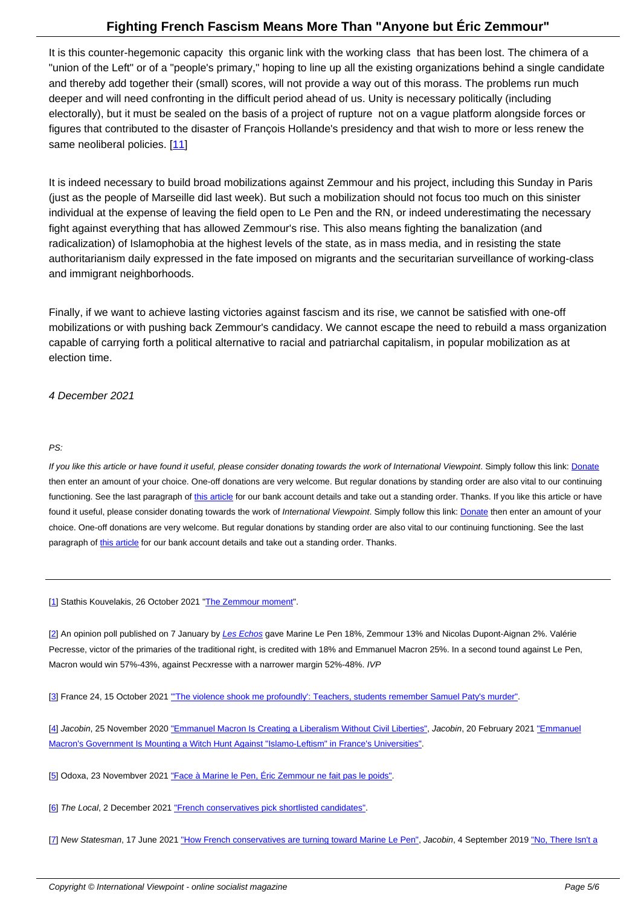It is this counter-hegemonic capacity this organic link with the working class that has been lost. The chimera of a "union of the Left" or of a "people's primary," hoping to line up all the existing organizations behind a single candidate and thereby add together their (small) scores, will not provide a way out of this morass. The problems run much deeper and will need confronting in the difficult period ahead of us. Unity is necessary politically (including electorally), but it must be sealed on the basis of a project of rupture not on a vague platform alongside forces or figures that contributed to the disaster of François Hollande's presidency and that wish to more or less renew the same neoliberal policies. [11]

It is indeed necessary to build broad mobilizations against Zemmour and his project, including this Sunday in Paris (just as the people of Mar[seil](#nb11)le did last week). But such a mobilization should not focus too much on this sinister individual at the expense of leaving the field open to Le Pen and the RN, or indeed underestimating the necessary fight against everything that has allowed Zemmour's rise. This also means fighting the banalization (and radicalization) of Islamophobia at the highest levels of the state, as in mass media, and in resisting the state authoritarianism daily expressed in the fate imposed on migrants and the securitarian surveillance of working-class and immigrant neighborhoods.

Finally, if we want to achieve lasting victories against fascism and its rise, we cannot be satisfied with one-off mobilizations or with pushing back Zemmour's candidacy. We cannot escape the need to rebuild a mass organization capable of carrying forth a political alternative to racial and patriarchal capitalism, in popular mobilization as at election time.

4 December 2021

#### PS:

If you like this article or have found it useful, please consider donating towards the work of International Viewpoint. Simply follow this link: Donate then enter an amount of your choice. One-off donations are very welcome. But regular donations by standing order are also vital to our continuing functioning. See the last paragraph of this article for our bank account details and take out a standing order. Thanks. If you like this article or have found it useful, please consider donating towards the work of International Viewpoint. Simply follow this link: Donate then enter an amount of your choice. One-off donations are very welcome. But regular donations by standing order are also vital to our continuing functioning. See the [last](https://www.paypal.me/IViewpoint) paragraph of this article for our bank a[ccount det](http://www.internationalviewpoint.org/spip.php?article5368)ails and take out a standing order. Thanks.

[1] Stathis Ko[uvelakis, 2](http://www.internationalviewpoint.org/spip.php?article5368)6 October 2021 "The Zemmour moment".

[2] An opinion poll published on 7 January by Les Echos gave Marine Le Pen 18%, Zemmour 13% and Nicolas Dupont-Aignan 2%. Valérie [Pe](#nh1)cresse, victor of the primaries of the tr[aditional right, is credite](https://internationalviewpoint.org/spip.php?article7367)d with 18% and Emmanuel Macron 25%. In a second tound against Le Pen, Macron would win 57%-43%, against Pecxresse with a narrower margin 52%-48%. IVP

[[3](#nh2)] France 24, 15 October 2021 "The violenc[e shook me](https://www.lesechos.fr/elections/sondages/sondage-quotidien-presidentielle-2022-lanalyse-de-la-semaine-1377609) profoundly': Teachers, students remember Samuel Paty's murder".

[4] Jacobin, 25 November 2020 "Emmanuel Macron Is Creating a Liberalism Without Civil Liberties", Jacobin, 20 February 2021 "Emmanuel [M](#nh3)acron's Government Is Mounti[ng a Witch Hunt Against "Islamo-Leftism" in France](https://www.france24.com/en/france/20211015-the-violence-shook-me-profoundly-teachers-students-remember-samuel-paty-s-murder)'[s Universities".](https://www.france24.com/en/france/20211015-the-violence-shook-me-profoundly-teachers-students-remember-samuel-paty-s-murder)

[[5](#nh4)] Odoxa, 23 Novembver 2021 ["Face à Marine le Pen, Éric Zemmour ne fait pas le poids".](https://www.jacobinmag.com/2020/11/emmanuel-macron-liberalism-without-civil-liberties)

[6] The Local, 2 December 2021 "French conservatives pick shortlisted candidates".

[7] New Statesman, 17 June 2021 "How French conservatives are turning toward Marine Le Pen", Jacobin, 4 September 2019 "No, There Isn't a